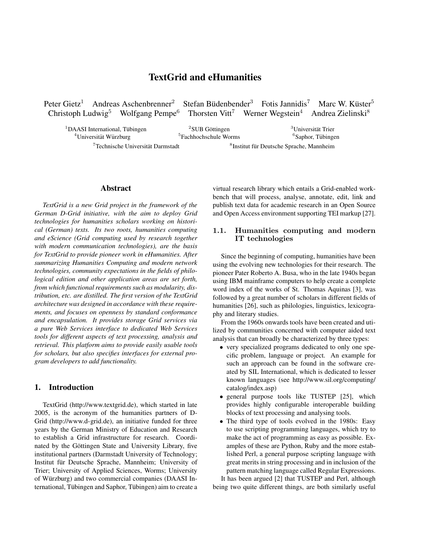# TextGrid and eHumanities

Peter Gietz<sup>1</sup> Andreas Aschenbrenner<sup>2</sup> <sup>3</sup> Fotis Jannidis<sup>7</sup> Marc W. Küster<sup>5</sup> Christoph Ludwig<sup>5</sup> Wolfgang Pempe<sup>6</sup> Thorsten Vitt<sup>7</sup> Werner Wegstein<sup>4</sup> Andrea Zielinski<sup>8</sup>

<sup>1</sup>DAASI International, Tübingen <sup>2</sup>SUB Göttingen <sup>3</sup>Universität Trier  $4$ Universität Würzburg 5 Fachhochschule Worms <sup>6</sup>  $6$ Saphor, Tübingen <sup>7</sup>Technische Universität Darmstadt <sup>8</sup>Institut für Deutsche Sprache, Mannheim

#### Abstract

*TextGrid is a new Grid project in the framework of the German D-Grid initiative, with the aim to deploy Grid technologies for humanities scholars working on historical (German) texts. Its two roots, humanities computing and eScience (Grid computing used by research together with modern communication technologies), are the basis for TextGrid to provide pioneer work in eHumanities. After summarizing Humanities Computing and modern network technologies, community expectations in the fields of philological edition and other application areas are set forth, from which functional requirements such as modularity, distribution, etc. are distilled. The first version of the TextGrid architecture was designed in accordance with these requirements, and focuses on openness by standard conformance and encapsulation. It provides storage Grid services via a pure Web Services interface to dedicated Web Services tools for different aspects of text processing, analysis and retrieval. This platform aims to provide easily usable tools for scholars, but also specifies interfaces for external program developers to add functionality.*

## 1. Introduction

TextGrid (http://www.textgrid.de), which started in late 2005, is the acronym of the humanities partners of D-Grid (http://www.d-grid.de), an initiative funded for three years by the German Ministry of Education and Research to establish a Grid infrastructure for research. Coordinated by the Göttingen State and University Library, five institutional partners (Darmstadt University of Technology; Institut für Deutsche Sprache, Mannheim; University of Trier; University of Applied Sciences, Worms; University of Würzburg) and two commercial companies (DAASI International, Tübingen and Saphor, Tübingen) aim to create a

virtual research library which entails a Grid-enabled workbench that will process, analyse, annotate, edit, link and publish text data for academic research in an Open Source and Open Access environment supporting TEI markup [27].

# 1.1. Humanities computing and modern IT technologies

Since the beginning of computing, humanities have been using the evolving new technologies for their research. The pioneer Pater Roberto A. Busa, who in the late 1940s began using IBM mainframe computers to help create a complete word index of the works of St. Thomas Aquinas [3], was followed by a great number of scholars in different fields of humanities [26], such as philologies, linguistics, lexicography and literary studies.

From the 1960s onwards tools have been created and utilized by communities concerned with computer aided text analysis that can broadly be characterized by three types:

- very specialized programs dedicated to only one specific problem, language or project. An example for such an approach can be found in the software created by SIL International, which is dedicated to lesser known languages (see http://www.sil.org/computing/ catalog/index.asp)
- general purpose tools like TUSTEP [25], which provides highly configurable interoperable building blocks of text processing and analysing tools.
- The third type of tools evolved in the 1980s: Easy to use scripting programming languages, which try to make the act of programming as easy as possible. Examples of these are Python, Ruby and the more established Perl, a general purpose scripting language with great merits in string processing and in inclusion of the pattern matching language called Regular Expressions.

It has been argued [2] that TUSTEP and Perl, although being two quite different things, are both similarly useful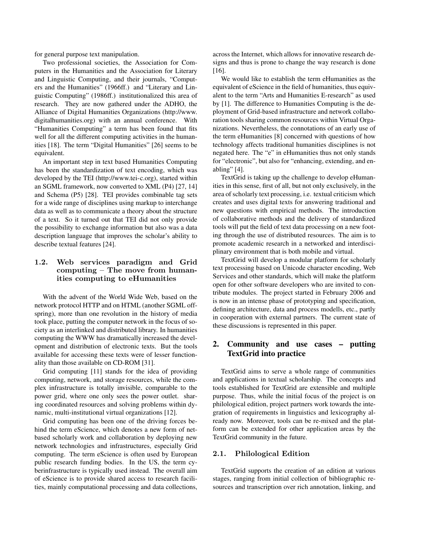for general purpose text manipulation.

Two professional societies, the Association for Computers in the Humanities and the Association for Literary and Linguistic Computing, and their journals, "Computers and the Humanities" (1966ff.) and "Literary and Linguistic Computing" (1986ff.) institutionalized this area of research. They are now gathered under the ADHO, the Alliance of Digital Humanities Organizations (http://www. digitalhumanities.org) with an annual conference. With "Humanities Computing" a term has been found that fits well for all the different computing activities in the humanities [18]. The term "Digital Humanities" [26] seems to be equivalent.

An important step in text based Humanities Computing has been the standardization of text encoding, which was developed by the TEI (http://www.tei-c.org), started within an SGML framework, now converted to XML (P4) [27, 14] and Schema (P5) [28]. TEI provides combinable tag sets for a wide range of disciplines using markup to interchange data as well as to communicate a theory about the structure of a text. So it turned out that TEI did not only provide the possibility to exchange information but also was a data description language that improves the scholar's ability to describe textual features [24].

# 1.2. Web services paradigm and Grid computing – The move from humanities computing to eHumanities

With the advent of the World Wide Web, based on the network protocol HTTP and on HTML (another SGML offspring), more than one revolution in the history of media took place, putting the computer network in the focus of society as an interlinked and distributed library. In humanities computing the WWW has dramatically increased the development and distribution of electronic texts. But the tools available for accessing these texts were of lesser functionality than those available on CD-ROM [31].

Grid computing [11] stands for the idea of providing computing, network, and storage resources, while the complex infrastructure is totally invisible, comparable to the power grid, where one only sees the power outlet. sharing coordinated resources and solving problems within dynamic, multi-institutional virtual organizations [12].

Grid computing has been one of the driving forces behind the term eScience, which denotes a new form of netbased scholarly work and collaboration by deploying new network technologies and infrastructures, especially Grid computing. The term eScience is often used by European public research funding bodies. In the US, the term cyberinfrastructure is typically used instead. The overall aim of eScience is to provide shared access to research facilities, mainly computational processing and data collections, across the Internet, which allows for innovative research designs and thus is prone to change the way research is done [16].

We would like to establish the term eHumanities as the equivalent of eScience in the field of humanities, thus equivalent to the term "Arts and Humanities E-research" as used by [1]. The difference to Humanities Computing is the deployment of Grid-based infrastructure and network collaboration tools sharing common resources within Virtual Organizations. Nevertheless, the connotations of an early use of the term eHumanities [8] concerned with questions of how technology affects traditional humanities disciplines is not negated here. The "e" in eHumanities thus not only stands for "electronic", but also for "enhancing, extending, and enabling" [4].

TextGrid is taking up the challenge to develop eHumanities in this sense, first of all, but not only exclusively, in the area of scholarly text processing, i.e. textual criticism which creates and uses digital texts for answering traditional and new questions with empirical methods. The introduction of collaborative methods and the delivery of standardized tools will put the field of text data processing on a new footing through the use of distributed resources. The aim is to promote academic research in a networked and interdisciplinary environment that is both mobile and virtual.

TextGrid will develop a modular platform for scholarly text processing based on Unicode character encoding, Web Services and other standards, which will make the platform open for other software developers who are invited to contribute modules. The project started in February 2006 and is now in an intense phase of prototyping and specification, defining architecture, data and process modells, etc., partly in cooperation with external partners. The current state of these discussions is represented in this paper.

# 2. Community and use cases – putting TextGrid into practice

TextGrid aims to serve a whole range of communities and applications in textual scholarship. The concepts and tools established for TextGrid are extensible and multiple purpose. Thus, while the initial focus of the project is on philological edition, project partners work towards the integration of requirements in linguistics and lexicography already now. Moreover, tools can be re-mixed and the platform can be extended for other application areas by the TextGrid community in the future.

#### 2.1. Philological Edition

TextGrid supports the creation of an edition at various stages, ranging from initial collection of bibliographic resources and transcription over rich annotation, linking, and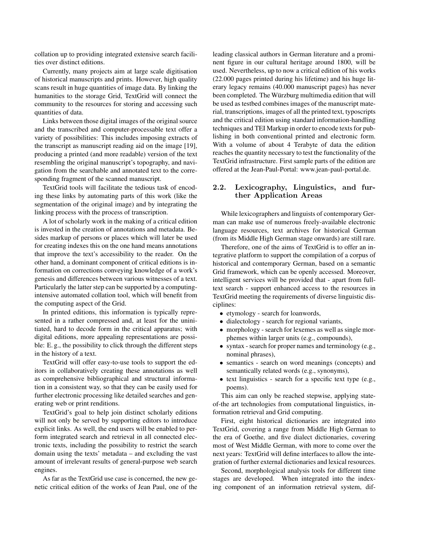collation up to providing integrated extensive search facilities over distinct editions.

Currently, many projects aim at large scale digitisation of historical manuscripts and prints. However, high quality scans result in huge quantities of image data. By linking the humanities to the storage Grid, TextGrid will connect the community to the resources for storing and accessing such quantities of data.

Links between those digital images of the original source and the transcribed and computer-processable text offer a variety of possibilities: This includes imposing extracts of the transcript as manuscript reading aid on the image [19], producing a printed (and more readable) version of the text resembling the original manuscript's topography, and navigation from the searchable and annotated text to the corresponding fragment of the scanned manuscript.

TextGrid tools will facilitate the tedious task of encoding these links by automating parts of this work (like the segmentation of the original image) and by integrating the linking process with the process of transcription.

A lot of scholarly work in the making of a critical edition is invested in the creation of annotations and metadata. Besides markup of persons or places which will later be used for creating indexes this on the one hand means annotations that improve the text's accessibility to the reader. On the other hand, a dominant component of critical editions is information on corrections conveying knowledge of a work's genesis and differences between various witnesses of a text. Particularly the latter step can be supported by a computingintensive automated collation tool, which will benefit from the computing aspect of the Grid.

In printed editions, this information is typically represented in a rather compressed and, at least for the uninitiated, hard to decode form in the critical apparatus; with digital editions, more appealing representations are possible: E. g., the possibility to click through the different steps in the history of a text.

TextGrid will offer easy-to-use tools to support the editors in collaboratively creating these annotations as well as comprehensive bibliographical and structural information in a consistent way, so that they can be easily used for further electronic processing like detailed searches and generating web or print renditions.

TextGrid's goal to help join distinct scholarly editions will not only be served by supporting editors to introduce explicit links. As well, the end users will be enabled to perform integrated search and retrieval in all connected electronic texts, including the possibility to restrict the search domain using the texts' metadata – and excluding the vast amount of irrelevant results of general-purpose web search engines.

As far as the TextGrid use case is concerned, the new genetic critical edition of the works of Jean Paul, one of the leading classical authors in German literature and a prominent figure in our cultural heritage around 1800, will be used. Nevertheless, up to now a critical edition of his works (22.000 pages printed during his lifetime) and his huge literary legacy remains (40.000 manuscript pages) has never been completed. The Würzburg multimedia edition that will be used as testbed combines images of the manuscript material, transcriptions, images of all the printed text, typoscripts and the critical edition using standard information-handling techniques and TEI Markup in order to encode texts for publishing in both conventional printed and electronic form. With a volume of about 4 Terabyte of data the edition reaches the quantity necessary to test the functionality of the TextGrid infrastructure. First sample parts of the edition are offered at the Jean-Paul-Portal: www.jean-paul-portal.de.

## 2.2. Lexicography, Linguistics, and further Application Areas

While lexicographers and linguists of contemporary German can make use of numerous freely-available electronic language resources, text archives for historical German (from its Middle High German stage onwards) are still rare.

Therefore, one of the aims of TextGrid is to offer an integrative platform to support the compilation of a corpus of historical and contemporary German, based on a semantic Grid framework, which can be openly accessed. Moreover, intelligent services will be provided that - apart from fulltext search - support enhanced access to the resources in TextGrid meeting the requirements of diverse linguistic disciplines:

- etymology search for loanwords,
- dialectology search for regional variants,
- morphology search for lexemes as well as single morphemes within larger units (e.g., compounds),
- syntax search for proper names and terminology (e.g., nominal phrases),
- semantics search on word meanings (concepts) and semantically related words (e.g., synonyms),
- text linguistics search for a specific text type (e.g., poems).

This aim can only be reached stepwise, applying stateof-the art technologies from computational linguistics, information retrieval and Grid computing.

First, eight historical dictionaries are integrated into TextGrid, covering a range from Middle High German to the era of Goethe, and five dialect dictionaries, covering most of West Middle German, with more to come over the next years: TextGrid will define interfaces to allow the integration of further external dictionaries and lexical resources.

Second, morphological analysis tools for different time stages are developed. When integrated into the indexing component of an information retrieval system, dif-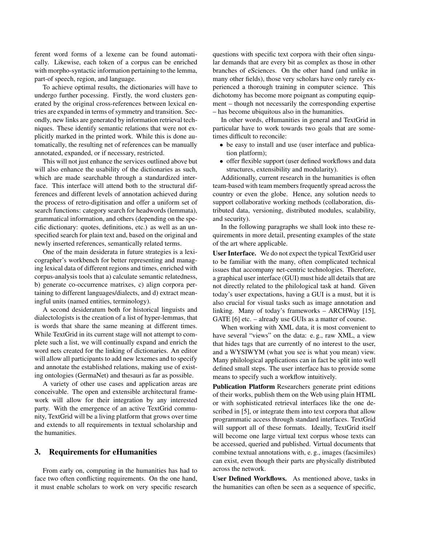ferent word forms of a lexeme can be found automatically. Likewise, each token of a corpus can be enriched with morpho-syntactic information pertaining to the lemma, part-of speech, region, and language.

To achieve optimal results, the dictionaries will have to undergo further pocessing. Firstly, the word clusters generated by the original cross-references between lexical entries are expanded in terms of symmetry and transition. Secondly, new links are generated by information retrieval techniques. These identify semantic relations that were not explicitly marked in the printed work. While this is done automatically, the resulting net of references can be manually annotated, expanded, or if necessary, restricted.

This will not just enhance the services outlined above but will also enhance the usability of the dictionaries as such, which are made searchable through a standardized interface. This interface will attend both to the structural differences and different levels of annotation achieved during the process of retro-digitisation and offer a uniform set of search functions: category search for headwords (lemmata), grammatical information, and others (depending on the specific dictionary: quotes, definitions, etc.) as well as an unspecified search for plain text and, based on the original and newly inserted references, semantically related terms.

One of the main desiderata in future strategies is a lexicographer's workbench for better representing and managing lexical data of different regions and times, enriched with corpus-analysis tools that a) calculate semantic relatedness, b) generate co-occurrence matrixes, c) align corpora pertaining to different languages/dialects, and d) extract meaningful units (named entities, terminology).

A second desideratum both for historical linguists and dialectologists is the creation of a list of hyper-lemmas, that is words that share the same meaning at different times. While TextGrid in its current stage will not attempt to complete such a list, we will continually expand and enrich the word nets created for the linking of dictionaries. An editor will allow all participants to add new lexemes and to specify and annotate the established relations, making use of existing ontologies (GermaNet) and thesauri as far as possible.

A variety of other use cases and application areas are conceivable. The open and extensible architectural framework will allow for their integration by any interested party. With the emergence of an active TextGrid community, TextGrid will be a living platform that grows over time and extends to all requirements in textual scholarship and the humanities.

#### 3. Requirements for eHumanities

From early on, computing in the humanities has had to face two often conflicting requirements. On the one hand, it must enable scholars to work on very specific research questions with specific text corpora with their often singular demands that are every bit as complex as those in other branches of eSciences. On the other hand (and unlike in many other fields), those very scholars have only rarely experienced a thorough training in computer science. This dichotomy has become more poignant as computing equipment – though not necessarily the corresponding expertise – has become ubiquitous also in the humanities.

In other words, eHumanities in general and TextGrid in particular have to work towards two goals that are sometimes difficult to reconcile:

- be easy to install and use (user interface and publication platform);
- offer flexible support (user defined workflows and data structures, extensibility and modularity).

Additionally, current research in the humanities is often team-based with team members frequently spread across the country or even the globe. Hence, any solution needs to support collaborative working methods (collaboration, distributed data, versioning, distributed modules, scalability, and security).

In the following paragraphs we shall look into these requirements in more detail, presenting examples of the state of the art where applicable.

User Interface. We do not expect the typical TextGrid user to be familiar with the many, often complicated technical issues that accompany net-centric technologies. Therefore, a graphical user interface (GUI) must hide all details that are not directly related to the philological task at hand. Given today's user expectations, having a GUI is a must, but it is also crucial for visual tasks such as image annotation and linking. Many of today's frameworks – ARCHWay [15], GATE [6] etc. – already use GUIs as a matter of course.

When working with XML data, it is most convenient to have several "views" on the data: e. g., raw XML, a view that hides tags that are currently of no interest to the user, and a WYSIWYM (what you see is what you mean) view. Many philological applications can in fact be split into well defined small steps. The user interface has to provide some means to specify such a workflow intuitively.

Publication Platform Researchers generate print editions of their works, publish them on the Web using plain HTML or with sophisticated retrieval interfaces like the one described in [5], or integrate them into text corpora that allow programmatic access through standard interfaces. TextGrid will support all of these formats. Ideally, TextGrid itself will become one large virtual text corpus whose texts can be accessed, queried and published. Virtual documents that combine textual annotations with, e. g., images (facsimiles) can exist, even though their parts are physically distributed across the network.

User Defined Workflows. As mentioned above, tasks in the humanities can often be seen as a sequence of specific,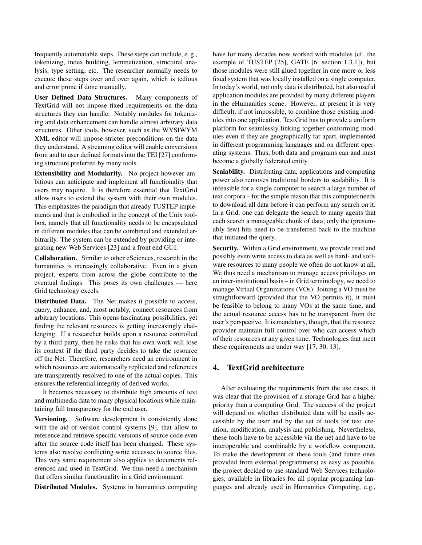frequently automatable steps. These steps can include, e. g., tokenizing, index building, lemmatization, structural analysis, type setting, etc. The researcher normally needs to execute these steps over and over again, which is tedious and error prone if done manually.

User Defined Data Structures. Many components of TextGrid will not impose fixed requirements on the data structures they can handle. Notably modules for tokenizing and data enhancement can handle almost arbitrary data structures. Other tools, however, such as the WYSIWYM XML editor will impose stricter preconditions on the data they understand. A streaming editor will enable conversions from and to user defined formats into the TEI [27] conforming structure preferred by many tools.

Extensibility and Modularity. No project however ambitious can anticipate and implement all functionality that users may require. It is therefore essential that TextGrid allow users to extend the system with their own modules. This emphasizes the paradigm that already TUSTEP implements and that is embodied in the concept of the Unix toolbox, namely that all functionality needs to be encapsulated in different modules that can be combined and extended arbitrarily. The system can be extended by providing or integrating new Web Services [23] and a front end GUI.

Collaboration. Similar to other eSciences, research in the humanities is increasingly collaborative. Even in a given project, experts from across the globe contribute to the eventual findings. This poses its own challenges — here Grid technology excels.

Distributed Data. The Net makes it possible to access, query, enhance, and, most notably, connect resources from arbitrary locations. This opens fascinating possibilities, yet finding the relevant resources is getting increasingly challenging. If a researcher builds upon a resource controlled by a third party, then he risks that his own work will lose its context if the third party decides to take the resource off the Net. Therefore, researchers need an environment in which resources are automatically replicated and references are transparently resolved to one of the actual copies. This ensures the referential integrity of derived works.

It becomes necessary to distribute high amounts of text and multimedia data to many physical locations while maintaining full transparency for the end user.

Versioning. Software development is consistently done with the aid of version control systems [9], that allow to reference and retrieve specific versions of source code even after the source code itself has been changed. These systems also resolve conflicting write accesses to source files. This very same requirement also applies to documents referenced and used in TextGrid. We thus need a mechanism that offers similar functionality in a Grid environment.

Distributed Modules. Systems in humanities computing

have for many decades now worked with modules (cf. the example of TUSTEP [25], GATE [6, section 1.3.1]), but those modules were still glued together in one more or less fixed system that was locally installed on a single computer. In today's world, not only data is distributed, but also useful application modules are provided by many different players in the eHumanities scene. However, at present it is very difficult, if not impossible, to combine those existing modules into one application. TextGrid has to provide a uniform platform for seamlessly linking together conforming modules even if they are geographically far apart, implemented in different programming languages and on different operating systems. Thus, both data and programs can and must become a globally federated entity.

Scalability. Distributing data, applications and computing power also removes traditional borders to scalability. It is infeasible for a single computer to search a large number of text corpora – for the simple reason that this computer needs to download all data before it can perform any search on it. In a Grid, one can delegate the search to many agents that each search a manageable chunk of data; only the (presumably few) hits need to be transferred back to the machine that initiated the query.

Security. Within a Grid environment, we provide read and possibly even write access to data as well as hard- and software resources to many people we often do not know at all. We thus need a mechanism to manage access privileges on an inter-institutional basis – in Grid terminology, we need to manage Virtual Organizations (VOs). Joining a VO must be straightforward (provided that the VO permits it), it must be feasible to belong to many VOs at the same time, and the actual resource access has to be transparent from the user's perspective. It is mandatory, though, that the resource provider maintain full control over who can access which of their resources at any given time. Technologies that meet these requirements are under way [17, 30, 13].

# 4. TextGrid architecture

After evaluating the requirements from the use cases, it was clear that the provision of a storage Grid has a higher priority than a computing Grid. The success of the project will depend on whether distributed data will be easily accessible by the user and by the set of tools for text creation, modification, analysis and publishing. Nevertheless, these tools have to be accessible via the net and have to be interoperable and combinable by a workflow component. To make the development of these tools (and future ones provided from external programmers) as easy as possible, the project decided to use standard Web Services technologies, available in libraries for all popular programing languages and already used in Humanities Computing, e.g.,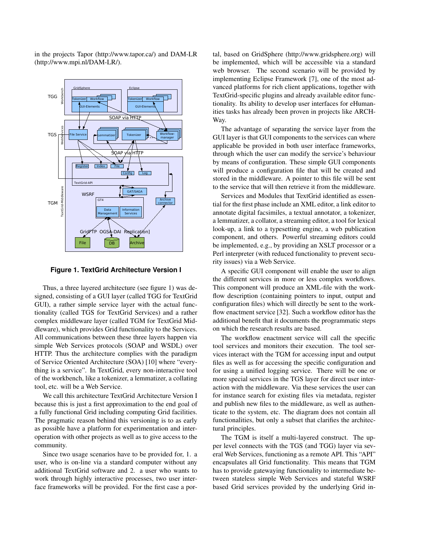in the projects Tapor (http://www.tapor.ca/) and DAM-LR (http://www.mpi.nl/DAM-LR/).



**Figure 1. TextGrid Architecture Version I**

Thus, a three layered architecture (see figure 1) was designed, consisting of a GUI layer (called TGG for TextGrid GUI), a rather simple service layer with the actual functionality (called TGS for TextGrid Services) and a rather complex middleware layer (called TGM for TextGrid Middleware), which provides Grid functionality to the Services. All communications between these three layers happen via simple Web Services protocols (SOAP and WSDL) over HTTP. Thus the architecture complies with the paradigm of Service Oriented Architecture (SOA) [10] where "everything is a service". In TextGrid, every non-interactive tool of the workbench, like a tokenizer, a lemmatizer, a collating tool, etc. will be a Web Service.

We call this architecture TextGrid Architecture Version I because this is just a first approximation to the end goal of a fully functional Grid including computing Grid facilities. The pragmatic reason behind this versioning is to as early as possible have a platform for experimentation and interoperation with other projects as well as to give access to the community.

Since two usage scenarios have to be provided for, 1. a user, who is on-line via a standard computer without any additional TextGrid software and 2. a user who wants to work through highly interactive processes, two user interface frameworks will be provided. For the first case a portal, based on GridSphere (http://www.gridsphere.org) will be implemented, which will be accessible via a standard web browser. The second scenario will be provided by implementing Eclipse Framework [7], one of the most advanced platforms for rich client applications, together with TextGrid-specific plugins and already available editor functionality. Its ability to develop user interfaces for eHumanities tasks has already been proven in projects like ARCH-Way.

The advantage of separating the service layer from the GUI layer is that GUI components to the services can where applicable be provided in both user interface frameworks, through which the user can modify the service's behaviour by means of configuration. These simple GUI components will produce a configuration file that will be created and stored in the middleware. A pointer to this file will be sent to the service that will then retrieve it from the middleware.

Services and Modules that TextGrid identified as essential for the first phase include an XML editor, a link editor to annotate digital facsimiles, a textual annotator, a tokenizer, a lemmatizer, a collator, a streaming editor, a tool for lexical look-up, a link to a typesetting engine, a web publication component, and others. Powerful streaming editors could be implemented, e.g., by providing an XSLT processor or a Perl interpreter (with reduced functionality to prevent security issues) via a Web Service.

A specific GUI component will enable the user to align the different services in more or less complex workflows. This component will produce an XML-file with the workflow description (containing pointers to input, output and configuration files) which will directly be sent to the workflow enactment service [32]. Such a workflow editor has the additional benefit that it documents the programmatic steps on which the research results are based.

The workflow enactment service will call the specific tool services and monitors their execution. The tool services interact with the TGM for accessing input and output files as well as for accessing the specific configuration and for using a unified logging service. There will be one or more special services in the TGS layer for direct user interaction with the middleware. Via these services the user can for instance search for existing files via metadata, register and publish new files to the middleware, as well as authenticate to the system, etc. The diagram does not contain all functionalities, but only a subset that clarifies the architectural principles.

The TGM is itself a multi-layered construct. The upper level connects with the TGS (and TGG) layer via several Web Services, functioning as a remote API. This "API" encapsulates all Grid functionality. This means that TGM has to provide gatewaying functionality to intermediate between stateless simple Web Services and stateful WSRF based Grid services provided by the underlying Grid in-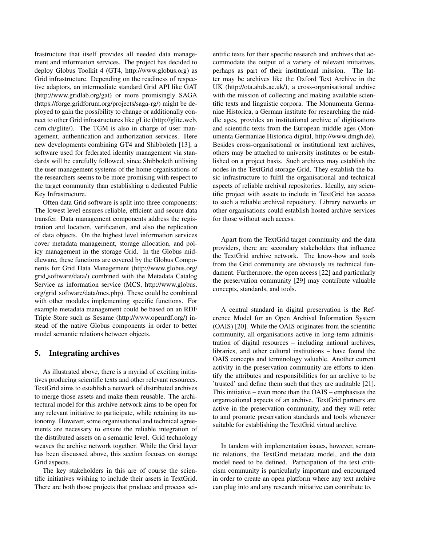frastructure that itself provides all needed data management and information services. The project has decided to deploy Globus Toolkit 4 (GT4, http://www.globus.org) as Grid infrastructure. Depending on the readiness of respective adaptors, an intermediate standard Grid API like GAT (http://www.gridlab.org/gat) or more promisingly SAGA (https://forge.gridforum.org/projects/saga-rg/) might be deployed to gain the possibility to change or additionally connect to other Grid infrastructures like gLite (http://glite.web. cern.ch/glite/). The TGM is also in charge of user management, authentication and authorization services. Here new developments combining GT4 and Shibboleth [13], a software used for federated identity management via standards will be carefully followed, since Shibboleth utilising the user management systems of the home organisations of the researchers seems to be more promising with respect to the target community than establishing a dedicated Public Key Infrastructure.

Often data Grid software is split into three components: The lowest level ensures reliable, efficient and secure data transfer. Data management components address the registration and location, verification, and also the replication of data objects. On the highest level information services cover metadata management, storage allocation, and policy management in the storage Grid. In the Globus middleware, these functions are covered by the Globus Components for Grid Data Management (http://www.globus.org/ grid software/data/) combined with the Metadata Catalog Service as information service (MCS, http://www.globus. org/grid software/data/mcs.php). These could be combined with other modules implementing specific functions. For example metadata management could be based on an RDF Triple Store such as Sesame (http://www.openrdf.org/) instead of the native Globus components in order to better model semantic relations between objects.

## 5. Integrating archives

As illustrated above, there is a myriad of exciting initiatives producing scientific texts and other relevant resources. TextGrid aims to establish a network of distributed archives to merge those assets and make them reusable. The architectural model for this archive network aims to be open for any relevant initiative to participate, while retaining its autonomy. However, some organisational and technical agreements are necessary to ensure the reliable integration of the distributed assets on a semantic level. Grid technology weaves the archive network together. While the Grid layer has been discussed above, this section focuses on storage Grid aspects.

The key stakeholders in this are of course the scientific initiatives wishing to include their assets in TextGrid. There are both those projects that produce and process scientific texts for their specific research and archives that accommodate the output of a variety of relevant initiatives, perhaps as part of their institutional mission. The latter may be archives like the Oxford Text Archive in the UK (http://ota.ahds.ac.uk/), a cross-organisational archive with the mission of collecting and making available scientific texts and linguistic corpora. The Monumenta Germaniae Historica, a German institute for researching the middle ages, provides an institutional archive of digitisations and scientific texts from the European middle ages (Monumenta Germaniae Historica digital, http://www.dmgh.de). Besides cross-organisational or institutional text archives, others may be attached to university institutes or be established on a project basis. Such archives may establish the nodes in the TextGrid storage Grid. They establish the basic infrastructure to fulfil the organisational and technical aspects of reliable archival repositories. Ideally, any scientific project with assets to include in TextGrid has access to such a reliable archival repository. Library networks or other organisations could establish hosted archive services for those without such access.

Apart from the TextGrid target community and the data providers, there are secondary stakeholders that influence the TextGrid archive network. The know-how and tools from the Grid community are obviously its technical fundament. Furthermore, the open access [22] and particularly the preservation community [29] may contribute valuable concepts, standards, and tools.

A central standard in digital preservation is the Reference Model for an Open Archival Information System (OAIS) [20]. While the OAIS originates from the scientific community, all organisations active in long-term administration of digital resources – including national archives, libraries, and other cultural institutions – have found the OAIS concepts and terminology valuable. Another current activity in the preservation community are efforts to identify the attributes and responsibilities for an archive to be 'trusted' and define them such that they are auditable [21]. This initiative – even more than the OAIS – emphasises the organisational aspects of an archive. TextGrid partners are active in the preservation community, and they will refer to and promote preservation standards and tools whenever suitable for establishing the TextGrid virtual archive.

In tandem with implementation issues, however, semantic relations, the TextGrid metadata model, and the data model need to be defined. Participation of the text criticism community is particularly important and encouraged in order to create an open platform where any text archive can plug into and any research initiative can contribute to.